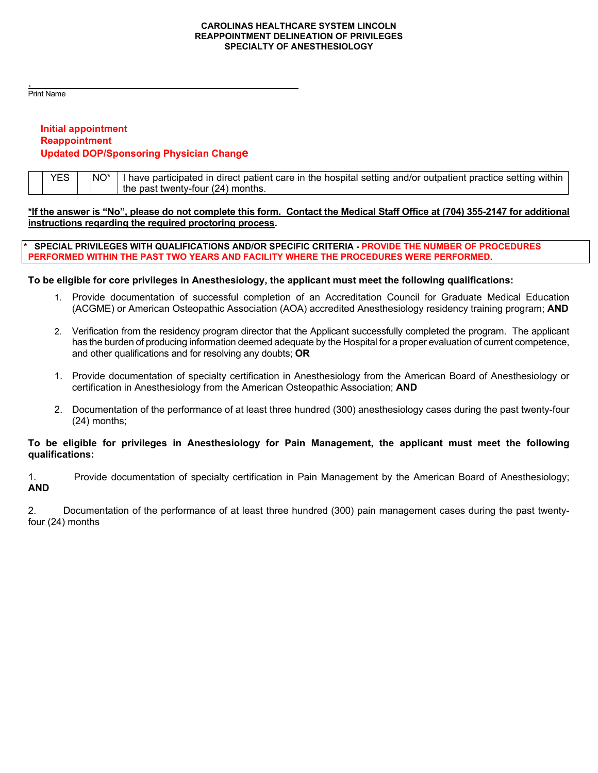#### **CAROLINAS HEALTHCARE SYSTEM LINCOLN REAPPOINTMENT DELINEATION OF PRIVILEGES SPECIALTY OF ANESTHESIOLOGY**

. Print Name

## **Initial appointment Reappointment Updated DOP/Sponsoring Physician Change**

| YES | I have participated in direct patient care in the hospital setting and/or outpatient practice setting within |
|-----|--------------------------------------------------------------------------------------------------------------|
|     | the past twenty-four (24) months.                                                                            |

### **\*If the answer is "No", please do not complete this form. Contact the Medical Staff Office at (704) 355-2147 for additional instructions regarding the required proctoring process.**

**\* SPECIAL PRIVILEGES WITH QUALIFICATIONS AND/OR SPECIFIC CRITERIA - PROVIDE THE NUMBER OF PROCEDURES PERFORMED WITHIN THE PAST TWO YEARS AND FACILITY WHERE THE PROCEDURES WERE PERFORMED.** 

### **To be eligible for core privileges in Anesthesiology, the applicant must meet the following qualifications:**

- 1. Provide documentation of successful completion of an Accreditation Council for Graduate Medical Education (ACGME) or American Osteopathic Association (AOA) accredited Anesthesiology residency training program; **AND**
- 2. Verification from the residency program director that the Applicant successfully completed the program. The applicant has the burden of producing information deemed adequate by the Hospital for a proper evaluation of current competence, and other qualifications and for resolving any doubts; **OR**
- 1. Provide documentation of specialty certification in Anesthesiology from the American Board of Anesthesiology or certification in Anesthesiology from the American Osteopathic Association; **AND**
- 2. Documentation of the performance of at least three hundred (300) anesthesiology cases during the past twenty-four (24) months;

### **To be eligible for privileges in Anesthesiology for Pain Management, the applicant must meet the following qualifications:**

1. Provide documentation of specialty certification in Pain Management by the American Board of Anesthesiology; **AND**

2. Documentation of the performance of at least three hundred (300) pain management cases during the past twentyfour (24) months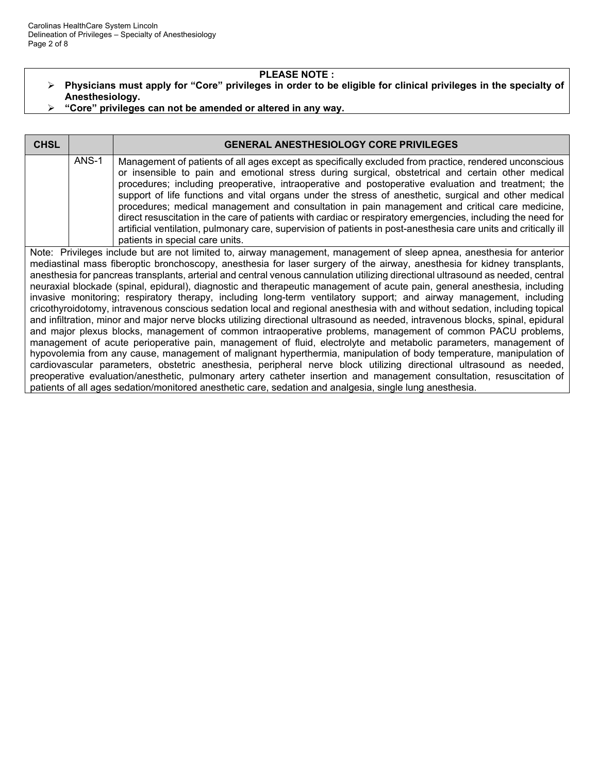#### **PLEASE NOTE :**

- **Physicians must apply for "Core" privileges in order to be eligible for clinical privileges in the specialty of Anesthesiology.**
- **"Core" privileges can not be amended or altered in any way.**

| <b>CHSL</b> |       | <b>GENERAL ANESTHESIOLOGY CORE PRIVILEGES</b>                                                                                                                                                                                                                                                                                                                                                                                                                                                                                                                                                                                                                                                                                                                                                       |
|-------------|-------|-----------------------------------------------------------------------------------------------------------------------------------------------------------------------------------------------------------------------------------------------------------------------------------------------------------------------------------------------------------------------------------------------------------------------------------------------------------------------------------------------------------------------------------------------------------------------------------------------------------------------------------------------------------------------------------------------------------------------------------------------------------------------------------------------------|
|             | ANS-1 | Management of patients of all ages except as specifically excluded from practice, rendered unconscious<br>or insensible to pain and emotional stress during surgical, obstetrical and certain other medical<br>procedures; including preoperative, intraoperative and postoperative evaluation and treatment; the<br>support of life functions and vital organs under the stress of anesthetic, surgical and other medical<br>procedures; medical management and consultation in pain management and critical care medicine,<br>direct resuscitation in the care of patients with cardiac or respiratory emergencies, including the need for<br>artificial ventilation, pulmonary care, supervision of patients in post-anesthesia care units and critically ill<br>patients in special care units. |
|             |       | .                                                                                                                                                                                                                                                                                                                                                                                                                                                                                                                                                                                                                                                                                                                                                                                                   |

Note: Privileges include but are not limited to, airway management, management of sleep apnea, anesthesia for anterior mediastinal mass fiberoptic bronchoscopy, anesthesia for laser surgery of the airway, anesthesia for kidney transplants, anesthesia for pancreas transplants, arterial and central venous cannulation utilizing directional ultrasound as needed, central neuraxial blockade (spinal, epidural), diagnostic and therapeutic management of acute pain, general anesthesia, including invasive monitoring; respiratory therapy, including long-term ventilatory support; and airway management, including cricothyroidotomy, intravenous conscious sedation local and regional anesthesia with and without sedation, including topical and infiltration, minor and major nerve blocks utilizing directional ultrasound as needed, intravenous blocks, spinal, epidural and major plexus blocks, management of common intraoperative problems, management of common PACU problems, management of acute perioperative pain, management of fluid, electrolyte and metabolic parameters, management of hypovolemia from any cause, management of malignant hyperthermia, manipulation of body temperature, manipulation of cardiovascular parameters, obstetric anesthesia, peripheral nerve block utilizing directional ultrasound as needed, preoperative evaluation/anesthetic, pulmonary artery catheter insertion and management consultation, resuscitation of patients of all ages sedation/monitored anesthetic care, sedation and analgesia, single lung anesthesia.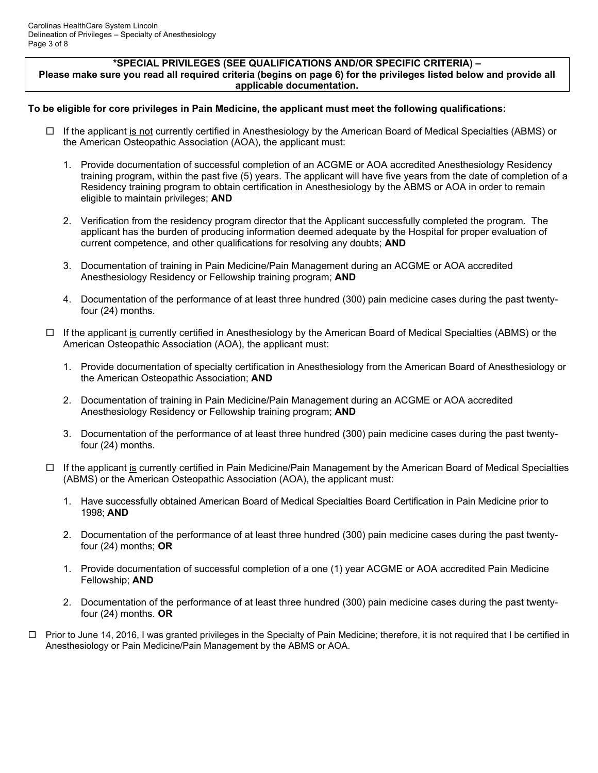#### **\*SPECIAL PRIVILEGES (SEE QUALIFICATIONS AND/OR SPECIFIC CRITERIA) – Please make sure you read all required criteria (begins on page 6) for the privileges listed below and provide all applicable documentation.**

### **To be eligible for core privileges in Pain Medicine, the applicant must meet the following qualifications:**

- $\Box$  If the applicant is not currently certified in Anesthesiology by the American Board of Medical Specialties (ABMS) or the American Osteopathic Association (AOA), the applicant must:
	- 1. Provide documentation of successful completion of an ACGME or AOA accredited Anesthesiology Residency training program, within the past five (5) years. The applicant will have five years from the date of completion of a Residency training program to obtain certification in Anesthesiology by the ABMS or AOA in order to remain eligible to maintain privileges; **AND**
	- 2. Verification from the residency program director that the Applicant successfully completed the program. The applicant has the burden of producing information deemed adequate by the Hospital for proper evaluation of current competence, and other qualifications for resolving any doubts; **AND**
	- 3. Documentation of training in Pain Medicine/Pain Management during an ACGME or AOA accredited Anesthesiology Residency or Fellowship training program; **AND**
	- 4. Documentation of the performance of at least three hundred (300) pain medicine cases during the past twentyfour (24) months.
- □ If the applicant is currently certified in Anesthesiology by the American Board of Medical Specialties (ABMS) or the American Osteopathic Association (AOA), the applicant must:
	- 1. Provide documentation of specialty certification in Anesthesiology from the American Board of Anesthesiology or the American Osteopathic Association; **AND**
	- 2. Documentation of training in Pain Medicine/Pain Management during an ACGME or AOA accredited Anesthesiology Residency or Fellowship training program; **AND**
	- 3. Documentation of the performance of at least three hundred (300) pain medicine cases during the past twentyfour (24) months.
- $\Box$  If the applicant is currently certified in Pain Medicine/Pain Management by the American Board of Medical Specialties (ABMS) or the American Osteopathic Association (AOA), the applicant must:
	- 1. Have successfully obtained American Board of Medical Specialties Board Certification in Pain Medicine prior to 1998; **AND**
	- 2. Documentation of the performance of at least three hundred (300) pain medicine cases during the past twentyfour (24) months; **OR**
	- 1. Provide documentation of successful completion of a one (1) year ACGME or AOA accredited Pain Medicine Fellowship; **AND**
	- 2. Documentation of the performance of at least three hundred (300) pain medicine cases during the past twentyfour (24) months. **OR**
- $\Box$  Prior to June 14, 2016, I was granted privileges in the Specialty of Pain Medicine; therefore, it is not required that I be certified in Anesthesiology or Pain Medicine/Pain Management by the ABMS or AOA.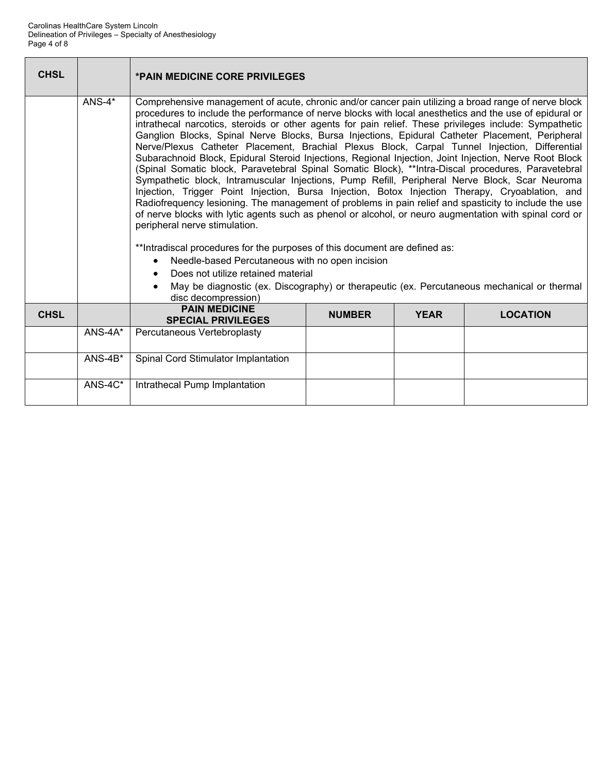| <b>CHSL</b> |           | <b>*PAIN MEDICINE CORE PRIVILEGES</b>                                                                                                                                                                                                                                                                                                                                                                                                                                                                                                                                                                                                                                                                                                                                                                                                                                                                                                                                                                                                                                                                                                                                                                                                                                                                                                                                                                                                                                                    |               |             |                 |  |  |  |
|-------------|-----------|------------------------------------------------------------------------------------------------------------------------------------------------------------------------------------------------------------------------------------------------------------------------------------------------------------------------------------------------------------------------------------------------------------------------------------------------------------------------------------------------------------------------------------------------------------------------------------------------------------------------------------------------------------------------------------------------------------------------------------------------------------------------------------------------------------------------------------------------------------------------------------------------------------------------------------------------------------------------------------------------------------------------------------------------------------------------------------------------------------------------------------------------------------------------------------------------------------------------------------------------------------------------------------------------------------------------------------------------------------------------------------------------------------------------------------------------------------------------------------------|---------------|-------------|-----------------|--|--|--|
|             | $ANS-4*$  | Comprehensive management of acute, chronic and/or cancer pain utilizing a broad range of nerve block<br>procedures to include the performance of nerve blocks with local anesthetics and the use of epidural or<br>intrathecal narcotics, steroids or other agents for pain relief. These privileges include: Sympathetic<br>Ganglion Blocks, Spinal Nerve Blocks, Bursa Injections, Epidural Catheter Placement, Peripheral<br>Nerve/Plexus Catheter Placement, Brachial Plexus Block, Carpal Tunnel Injection, Differential<br>Subarachnoid Block, Epidural Steroid Injections, Regional Injection, Joint Injection, Nerve Root Block<br>(Spinal Somatic block, Paravetebral Spinal Somatic Block), **Intra-Discal procedures, Paravetebral<br>Sympathetic block, Intramuscular Injections, Pump Refill, Peripheral Nerve Block, Scar Neuroma<br>Injection, Trigger Point Injection, Bursa Injection, Botox Injection Therapy, Cryoablation, and<br>Radiofrequency lesioning. The management of problems in pain relief and spasticity to include the use<br>of nerve blocks with lytic agents such as phenol or alcohol, or neuro augmentation with spinal cord or<br>peripheral nerve stimulation.<br>**Intradiscal procedures for the purposes of this document are defined as:<br>Needle-based Percutaneous with no open incision<br>$\bullet$<br>Does not utilize retained material<br>May be diagnostic (ex. Discography) or therapeutic (ex. Percutaneous mechanical or thermal |               |             |                 |  |  |  |
| <b>CHSL</b> |           | disc decompression)<br><b>PAIN MEDICINE</b><br><b>SPECIAL PRIVILEGES</b>                                                                                                                                                                                                                                                                                                                                                                                                                                                                                                                                                                                                                                                                                                                                                                                                                                                                                                                                                                                                                                                                                                                                                                                                                                                                                                                                                                                                                 | <b>NUMBER</b> | <b>YEAR</b> | <b>LOCATION</b> |  |  |  |
|             | $ANS-4A*$ | Percutaneous Vertebroplasty                                                                                                                                                                                                                                                                                                                                                                                                                                                                                                                                                                                                                                                                                                                                                                                                                                                                                                                                                                                                                                                                                                                                                                                                                                                                                                                                                                                                                                                              |               |             |                 |  |  |  |
|             | $ANS-4B*$ | Spinal Cord Stimulator Implantation                                                                                                                                                                                                                                                                                                                                                                                                                                                                                                                                                                                                                                                                                                                                                                                                                                                                                                                                                                                                                                                                                                                                                                                                                                                                                                                                                                                                                                                      |               |             |                 |  |  |  |
|             | ANS-4C*   | Intrathecal Pump Implantation                                                                                                                                                                                                                                                                                                                                                                                                                                                                                                                                                                                                                                                                                                                                                                                                                                                                                                                                                                                                                                                                                                                                                                                                                                                                                                                                                                                                                                                            |               |             |                 |  |  |  |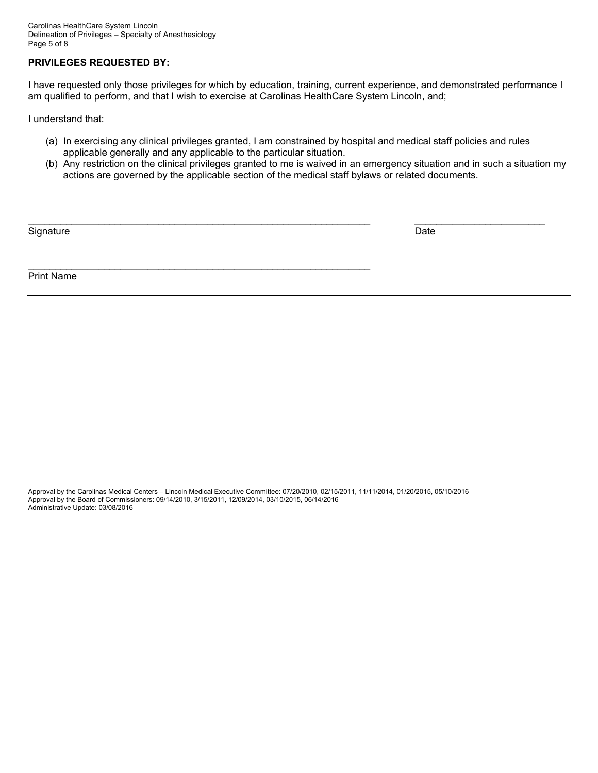Carolinas HealthCare System Lincoln Delineation of Privileges – Specialty of Anesthesiology Page 5 of 8

## **PRIVILEGES REQUESTED BY:**

I have requested only those privileges for which by education, training, current experience, and demonstrated performance I am qualified to perform, and that I wish to exercise at Carolinas HealthCare System Lincoln, and;

I understand that:

(a) In exercising any clinical privileges granted, I am constrained by hospital and medical staff policies and rules applicable generally and any applicable to the particular situation.

\_\_\_\_\_\_\_\_\_\_\_\_\_\_\_\_\_\_\_\_\_\_\_\_\_\_\_\_\_\_\_\_\_\_\_\_\_\_\_\_\_\_\_\_\_\_\_\_\_\_\_\_\_\_\_\_\_\_\_\_\_\_\_ \_\_\_\_\_\_\_\_\_\_\_\_\_\_\_\_\_\_\_\_\_\_\_\_

(b) Any restriction on the clinical privileges granted to me is waived in an emergency situation and in such a situation my actions are governed by the applicable section of the medical staff bylaws or related documents.

Signature Date Date of the Date of the Date of the Date of the Date of the Date of the Date of the Date of the

Print Name

Approval by the Carolinas Medical Centers – Lincoln Medical Executive Committee: 07/20/2010, 02/15/2011, 11/11/2014, 01/20/2015, 05/10/2016 Approval by the Board of Commissioners: 09/14/2010, 3/15/2011, 12/09/2014, 03/10/2015, 06/14/2016 Administrative Update: 03/08/2016

 $\mathcal{L}_\mathcal{L} = \{ \mathcal{L}_\mathcal{L} = \{ \mathcal{L}_\mathcal{L} = \{ \mathcal{L}_\mathcal{L} = \{ \mathcal{L}_\mathcal{L} = \{ \mathcal{L}_\mathcal{L} = \{ \mathcal{L}_\mathcal{L} = \{ \mathcal{L}_\mathcal{L} = \{ \mathcal{L}_\mathcal{L} = \{ \mathcal{L}_\mathcal{L} = \{ \mathcal{L}_\mathcal{L} = \{ \mathcal{L}_\mathcal{L} = \{ \mathcal{L}_\mathcal{L} = \{ \mathcal{L}_\mathcal{L} = \{ \mathcal{L}_\mathcal{$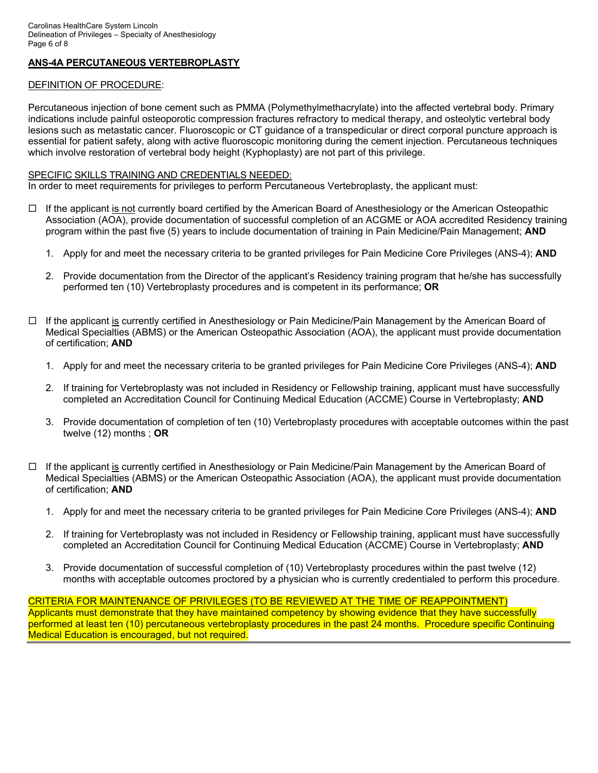## **ANS-4A PERCUTANEOUS VERTEBROPLASTY**

## DEFINITION OF PROCEDURE:

Percutaneous injection of bone cement such as PMMA (Polymethylmethacrylate) into the affected vertebral body. Primary indications include painful osteoporotic compression fractures refractory to medical therapy, and osteolytic vertebral body lesions such as metastatic cancer. Fluoroscopic or CT guidance of a transpedicular or direct corporal puncture approach is essential for patient safety, along with active fluoroscopic monitoring during the cement injection. Percutaneous techniques which involve restoration of vertebral body height (Kyphoplasty) are not part of this privilege.

#### SPECIFIC SKILLS TRAINING AND CREDENTIALS NEEDED:

In order to meet requirements for privileges to perform Percutaneous Vertebroplasty, the applicant must:

- $\Box$  If the applicant is not currently board certified by the American Board of Anesthesiology or the American Osteopathic Association (AOA), provide documentation of successful completion of an ACGME or AOA accredited Residency training program within the past five (5) years to include documentation of training in Pain Medicine/Pain Management; **AND** 
	- 1. Apply for and meet the necessary criteria to be granted privileges for Pain Medicine Core Privileges (ANS-4); **AND**
	- 2. Provide documentation from the Director of the applicant's Residency training program that he/she has successfully performed ten (10) Vertebroplasty procedures and is competent in its performance; **OR**
- □ If the applicant is currently certified in Anesthesiology or Pain Medicine/Pain Management by the American Board of Medical Specialties (ABMS) or the American Osteopathic Association (AOA), the applicant must provide documentation of certification; **AND**
	- 1. Apply for and meet the necessary criteria to be granted privileges for Pain Medicine Core Privileges (ANS-4); **AND**
	- 2. If training for Vertebroplasty was not included in Residency or Fellowship training, applicant must have successfully completed an Accreditation Council for Continuing Medical Education (ACCME) Course in Vertebroplasty; **AND**
	- 3. Provide documentation of completion of ten (10) Vertebroplasty procedures with acceptable outcomes within the past twelve (12) months ; **OR**
- □ If the applicant is currently certified in Anesthesiology or Pain Medicine/Pain Management by the American Board of Medical Specialties (ABMS) or the American Osteopathic Association (AOA), the applicant must provide documentation of certification; **AND**
	- 1. Apply for and meet the necessary criteria to be granted privileges for Pain Medicine Core Privileges (ANS-4); **AND**
	- 2. If training for Vertebroplasty was not included in Residency or Fellowship training, applicant must have successfully completed an Accreditation Council for Continuing Medical Education (ACCME) Course in Vertebroplasty; **AND**
	- 3. Provide documentation of successful completion of (10) Vertebroplasty procedures within the past twelve (12) months with acceptable outcomes proctored by a physician who is currently credentialed to perform this procedure.

# CRITERIA FOR MAINTENANCE OF PRIVILEGES (TO BE REVIEWED AT THE TIME OF REAPPOINTMENT)

Applicants must demonstrate that they have maintained competency by showing evidence that they have successfully performed at least ten (10) percutaneous vertebroplasty procedures in the past 24 months. Procedure specific Continuing Medical Education is encouraged, but not required.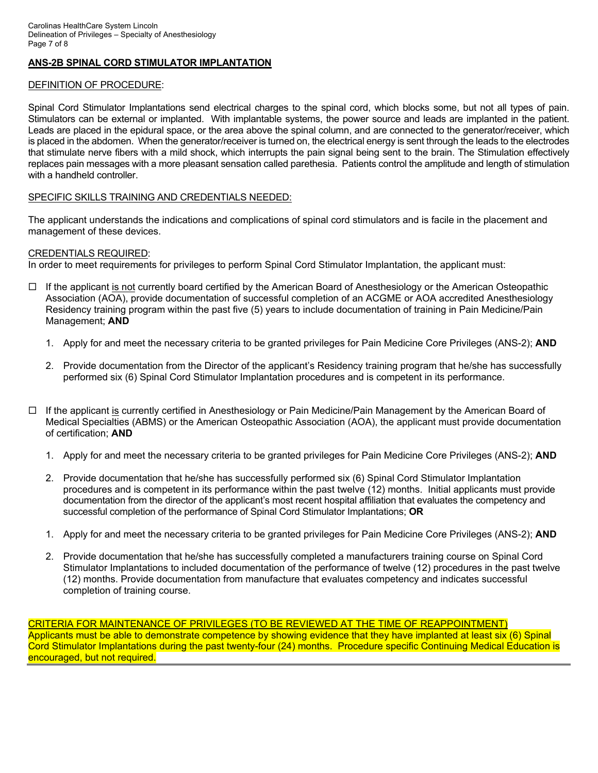## **ANS-2B SPINAL CORD STIMULATOR IMPLANTATION**

#### DEFINITION OF PROCEDURE:

Spinal Cord Stimulator Implantations send electrical charges to the spinal cord, which blocks some, but not all types of pain. Stimulators can be external or implanted. With implantable systems, the power source and leads are implanted in the patient. Leads are placed in the epidural space, or the area above the spinal column, and are connected to the generator/receiver, which is placed in the abdomen. When the generator/receiver is turned on, the electrical energy is sent through the leads to the electrodes that stimulate nerve fibers with a mild shock, which interrupts the pain signal being sent to the brain. The Stimulation effectively replaces pain messages with a more pleasant sensation called parethesia. Patients control the amplitude and length of stimulation with a handheld controller.

#### SPECIFIC SKILLS TRAINING AND CREDENTIALS NEEDED:

The applicant understands the indications and complications of spinal cord stimulators and is facile in the placement and management of these devices.

#### CREDENTIALS REQUIRED:

In order to meet requirements for privileges to perform Spinal Cord Stimulator Implantation, the applicant must:

- $\Box$  If the applicant is not currently board certified by the American Board of Anesthesiology or the American Osteopathic Association (AOA), provide documentation of successful completion of an ACGME or AOA accredited Anesthesiology Residency training program within the past five (5) years to include documentation of training in Pain Medicine/Pain Management; **AND**
	- 1. Apply for and meet the necessary criteria to be granted privileges for Pain Medicine Core Privileges (ANS-2); **AND**
	- 2. Provide documentation from the Director of the applicant's Residency training program that he/she has successfully performed six (6) Spinal Cord Stimulator Implantation procedures and is competent in its performance.
- $\Box$  If the applicant is currently certified in Anesthesiology or Pain Medicine/Pain Management by the American Board of Medical Specialties (ABMS) or the American Osteopathic Association (AOA), the applicant must provide documentation of certification; **AND**
	- 1. Apply for and meet the necessary criteria to be granted privileges for Pain Medicine Core Privileges (ANS-2); **AND**
	- 2. Provide documentation that he/she has successfully performed six (6) Spinal Cord Stimulator Implantation procedures and is competent in its performance within the past twelve (12) months. Initial applicants must provide documentation from the director of the applicant's most recent hospital affiliation that evaluates the competency and successful completion of the performance of Spinal Cord Stimulator Implantations; **OR**
	- 1. Apply for and meet the necessary criteria to be granted privileges for Pain Medicine Core Privileges (ANS-2); **AND**
	- 2. Provide documentation that he/she has successfully completed a manufacturers training course on Spinal Cord Stimulator Implantations to included documentation of the performance of twelve (12) procedures in the past twelve (12) months. Provide documentation from manufacture that evaluates competency and indicates successful completion of training course.

CRITERIA FOR MAINTENANCE OF PRIVILEGES (TO BE REVIEWED AT THE TIME OF REAPPOINTMENT) Applicants must be able to demonstrate competence by showing evidence that they have implanted at least six (6) Spinal Cord Stimulator Implantations during the past twenty-four (24) months. Procedure specific Continuing Medical Education is encouraged, but not required.